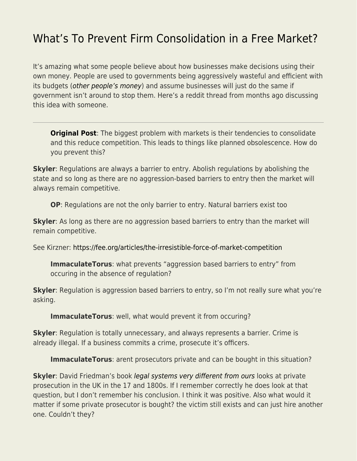## [What's To Prevent Firm Consolidation in a Free Market?](https://everything-voluntary.com/whats-to-prevent-firm-consolidation-in-a-free-market)

It's amazing what some people believe about how businesses make decisions using their own money. People are used to governments being aggressively wasteful and efficient with its budgets ([other people's money](https://youtu.be/k2Kg2SvsI8Q)) and assume businesses will just do the same if government isn't around to stop them. Here's a reddit thread from months ago discussing this idea with someone.

**[Original Post](https://www.reddit.com/r/MarketAnarchism/comments/oys2wi/how_do_you_prevent_market_consolidation/):** The biggest problem with markets is their tendencies to consolidate and this reduce competition. This leads to things like planned obsolescence. How do you prevent this?

**Skyler**: Regulations are always a barrier to entry. Abolish regulations by abolishing the state and so long as there are no aggression-based barriers to entry then the market will always remain competitive.

**OP**: Regulations are not the only barrier to entry. Natural barriers exist too

**Skyler**: As long as there are no aggression based barriers to entry than the market will remain competitive.

See Kirzner:<https://fee.org/articles/the-irresistible-force-of-market-competition>

**ImmaculateTorus**: what prevents "aggression based barriers to entry" from occuring in the absence of regulation?

**Skyler**: Regulation is aggression based barriers to entry, so I'm not really sure what you're asking.

**ImmaculateTorus**: well, what would prevent it from occuring?

**Skyler**: Regulation is totally unnecessary, and always represents a barrier. Crime is already illegal. If a business commits a crime, prosecute it's officers.

**ImmaculateTorus**: arent prosecutors private and can be bought in this situation?

**Skyler**: David Friedman's book *[legal systems very different from ours](https://amzn.to/35bEhkv)* looks at private prosecution in the UK in the 17 and 1800s. If I remember correctly he does look at that question, but I don't remember his conclusion. I think it was positive. Also what would it matter if some private prosecutor is bought? the victim still exists and can just hire another one. Couldn't they?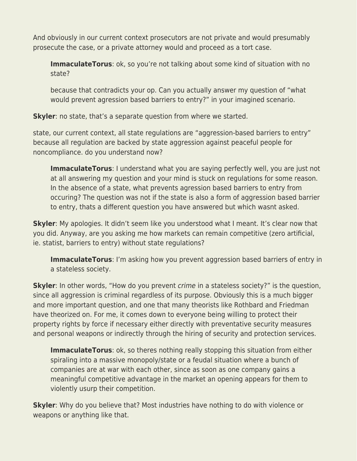And obviously in our current context prosecutors are not private and would presumably prosecute the case, or a private attorney would and proceed as a tort case.

**ImmaculateTorus**: ok, so you're not talking about some kind of situation with no state?

because that contradicts your op. Can you actually answer my question of "what would prevent agression based barriers to entry?" in your imagined scenario.

**Skyler**: no state, that's a separate question from where we started.

state, our current context, all state regulations are "aggression-based barriers to entry" because all regulation are backed by state aggression against peaceful people for noncompliance. do you understand now?

**ImmaculateTorus**: I understand what you are saying perfectly well, you are just not at all answering my question and your mind is stuck on regulations for some reason. In the absence of a state, what prevents agression based barriers to entry from occuring? The question was not if the state is also a form of aggression based barrier to entry, thats a different question you have answered but which wasnt asked.

**Skyler**: My apologies. It didn't seem like you understood what I meant. It's clear now that you did. Anyway, are you asking me how markets can remain competitive (zero artificial, ie. statist, barriers to entry) without state regulations?

**ImmaculateTorus**: I'm asking how you prevent aggression based barriers of entry in a stateless society.

**Skyler**: In other words, "How do you prevent *crime* in a stateless society?" is the question, since all aggression is criminal regardless of its purpose. Obviously this is a much bigger and more important question, and one that many theorists like Rothbard and Friedman have theorized on. For me, it comes down to everyone being willing to protect their property rights by force if necessary either directly with preventative security measures and personal weapons or indirectly through the hiring of security and protection services.

**ImmaculateTorus**: ok, so theres nothing really stopping this situation from either spiraling into a massive monopoly/state or a feudal situation where a bunch of companies are at war with each other, since as soon as one company gains a meaningful competitive advantage in the market an opening appears for them to violently usurp their competition.

**Skyler**: Why do you believe that? Most industries have nothing to do with violence or weapons or anything like that.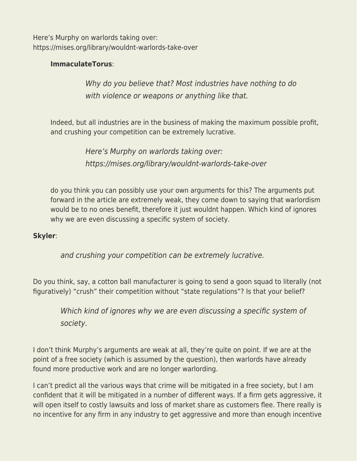Here's Murphy on warlords taking over: https://mises.org/library/wouldnt-warlords-take-over

## **ImmaculateTorus**:

Why do you believe that? Most industries have nothing to do with violence or weapons or anything like that.

Indeed, but all industries are in the business of making the maximum possible profit, and crushing your competition can be extremely lucrative.

> Here's Murphy on warlords taking over: https://mises.org/library/wouldnt-warlords-take-over

do you think you can possibly use your own arguments for this? The arguments put forward in the article are extremely weak, they come down to saying that warlordism would be to no ones benefit, therefore it just wouldnt happen. Which kind of ignores why we are even discussing a specific system of society.

## **Skyler**:

and crushing your competition can be extremely lucrative.

Do you think, say, a cotton ball manufacturer is going to send a goon squad to literally (not figuratively) "crush" their competition without "state regulations"? Is that your belief?

Which kind of ignores why we are even discussing a specific system of society.

I don't think Murphy's arguments are weak at all, they're quite on point. If we are at the point of a free society (which is assumed by the question), then warlords have already found more productive work and are no longer warlording.

I can't predict all the various ways that crime will be mitigated in a free society, but I am confident that it will be mitigated in a number of different ways. If a firm gets aggressive, it will open itself to costly lawsuits and loss of market share as customers flee. There really is no incentive for any firm in any industry to get aggressive and more than enough incentive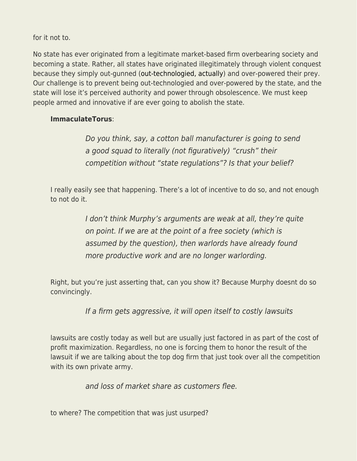for it not to.

No state has ever originated from a legitimate market-based firm overbearing society and becoming a state. Rather, all states have originated illegitimately through violent conquest because they simply out-gunned ([out-technologied, actually\)](https://everything-voluntary.com/technology-kills-the-state-over-and-over) and over-powered their prey. Our challenge is to prevent being out-technologied and over-powered by the state, and the state will lose it's perceived authority and power through obsolescence. We must keep people armed and innovative if are ever going to abolish the state.

## **ImmaculateTorus**:

Do you think, say, a cotton ball manufacturer is going to send a good squad to literally (not figuratively) "crush" their competition without "state regulations"? Is that your belief?

I really easily see that happening. There's a lot of incentive to do so, and not enough to not do it.

> I don't think Murphy's arguments are weak at all, they're quite on point. If we are at the point of a free society (which is assumed by the question), then warlords have already found more productive work and are no longer warlording.

Right, but you're just asserting that, can you show it? Because Murphy doesnt do so convincingly.

If a firm gets aggressive, it will open itself to costly lawsuits

lawsuits are costly today as well but are usually just factored in as part of the cost of profit maximization. Regardless, no one is forcing them to honor the result of the lawsuit if we are talking about the top dog firm that just took over all the competition with its own private army.

and loss of market share as customers flee.

to where? The competition that was just usurped?